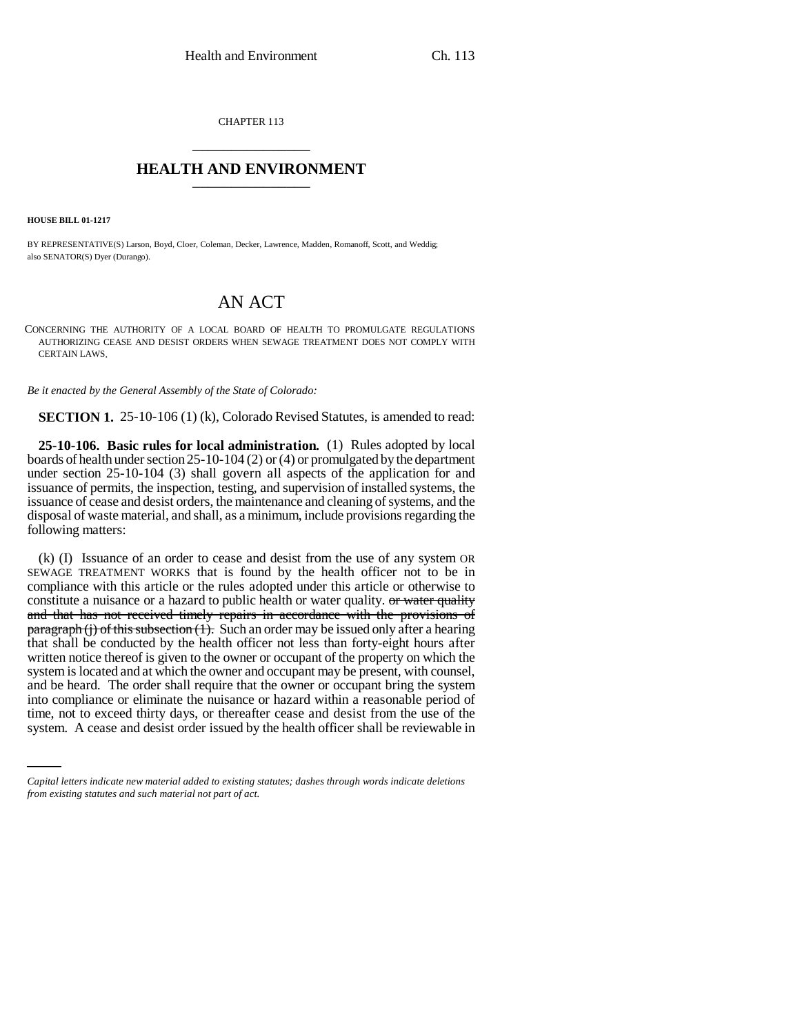CHAPTER 113 \_\_\_\_\_\_\_\_\_\_\_\_\_\_\_

## **HEALTH AND ENVIRONMENT** \_\_\_\_\_\_\_\_\_\_\_\_\_\_\_

**HOUSE BILL 01-1217**

BY REPRESENTATIVE(S) Larson, Boyd, Cloer, Coleman, Decker, Lawrence, Madden, Romanoff, Scott, and Weddig; also SENATOR(S) Dyer (Durango).

## AN ACT

CONCERNING THE AUTHORITY OF A LOCAL BOARD OF HEALTH TO PROMULGATE REGULATIONS AUTHORIZING CEASE AND DESIST ORDERS WHEN SEWAGE TREATMENT DOES NOT COMPLY WITH CERTAIN LAWS.

*Be it enacted by the General Assembly of the State of Colorado:*

**SECTION 1.** 25-10-106 (1) (k), Colorado Revised Statutes, is amended to read:

**25-10-106. Basic rules for local administration.** (1) Rules adopted by local boards of health under section 25-10-104 (2) or (4) or promulgated by the department under section 25-10-104 (3) shall govern all aspects of the application for and issuance of permits, the inspection, testing, and supervision of installed systems, the issuance of cease and desist orders, the maintenance and cleaning of systems, and the disposal of waste material, and shall, as a minimum, include provisions regarding the following matters:

into compliance or eliminate the nuisance or hazard within a reasonable period of (k) (I) Issuance of an order to cease and desist from the use of any system OR SEWAGE TREATMENT WORKS that is found by the health officer not to be in compliance with this article or the rules adopted under this article or otherwise to constitute a nuisance or a hazard to public health or water quality. <del>or water quality</del> and that has not received timely repairs in accordance with the provisions of  $\frac{\text{parameter}}{\text{log}(i)}$  of this subsection  $(1)$ . Such an order may be issued only after a hearing that shall be conducted by the health officer not less than forty-eight hours after written notice thereof is given to the owner or occupant of the property on which the system is located and at which the owner and occupant may be present, with counsel, and be heard. The order shall require that the owner or occupant bring the system time, not to exceed thirty days, or thereafter cease and desist from the use of the system. A cease and desist order issued by the health officer shall be reviewable in

*Capital letters indicate new material added to existing statutes; dashes through words indicate deletions from existing statutes and such material not part of act.*